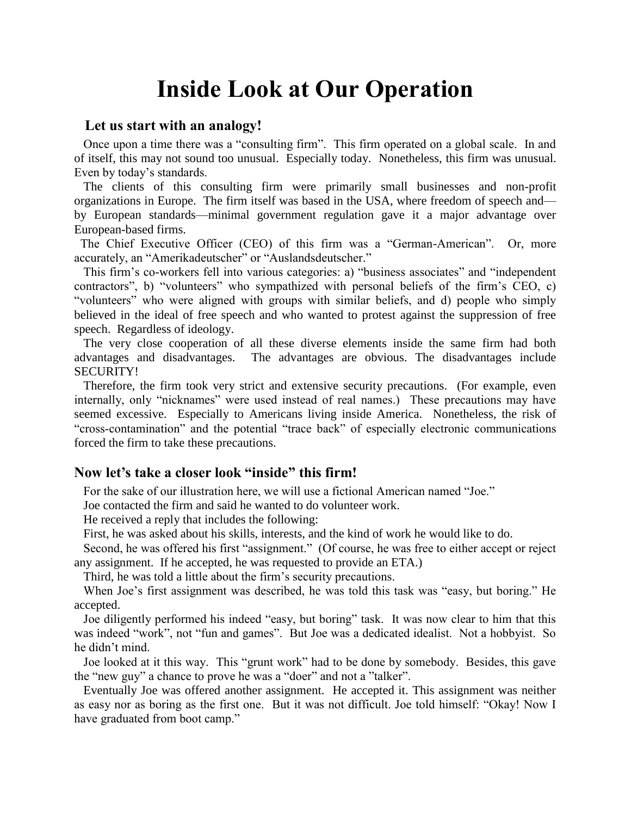## **Inside Look at Our Operation**

## **Let us start with an analogy!**

 Once upon a time there was a "consulting firm". This firm operated on a global scale. In and of itself, this may not sound too unusual. Especially today. Nonetheless, this firm was unusual. Even by today's standards.

 The clients of this consulting firm were primarily small businesses and non-profit organizations in Europe. The firm itself was based in the USA, where freedom of speech and by European standards—minimal government regulation gave it a major advantage over European-based firms.

 The Chief Executive Officer (CEO) of this firm was a "German-American". Or, more accurately, an "Amerikadeutscher" or "Auslandsdeutscher."

 This firm's co-workers fell into various categories: a) "business associates" and "independent contractors", b) "volunteers" who sympathized with personal beliefs of the firm's CEO, c) "volunteers" who were aligned with groups with similar beliefs, and d) people who simply believed in the ideal of free speech and who wanted to protest against the suppression of free speech. Regardless of ideology.

 The very close cooperation of all these diverse elements inside the same firm had both advantages and disadvantages. The advantages are obvious. The disadvantages include SECURITY!

 Therefore, the firm took very strict and extensive security precautions. (For example, even internally, only "nicknames" were used instead of real names.) These precautions may have seemed excessive. Especially to Americans living inside America. Nonetheless, the risk of "cross-contamination" and the potential "trace back" of especially electronic communications forced the firm to take these precautions.

## **Now let's take a closer look "inside" this firm!**

For the sake of our illustration here, we will use a fictional American named "Joe."

Joe contacted the firm and said he wanted to do volunteer work.

He received a reply that includes the following:

First, he was asked about his skills, interests, and the kind of work he would like to do.

 Second, he was offered his first "assignment." (Of course, he was free to either accept or reject any assignment. If he accepted, he was requested to provide an ETA.)

Third, he was told a little about the firm's security precautions.

 When Joe's first assignment was described, he was told this task was "easy, but boring." He accepted.

 Joe diligently performed his indeed "easy, but boring" task. It was now clear to him that this was indeed "work", not "fun and games". But Joe was a dedicated idealist. Not a hobbyist. So he didn't mind.

 Joe looked at it this way. This "grunt work" had to be done by somebody. Besides, this gave the "new guy" a chance to prove he was a "doer" and not a "talker".

 Eventually Joe was offered another assignment. He accepted it. This assignment was neither as easy nor as boring as the first one. But it was not difficult. Joe told himself: "Okay! Now I have graduated from boot camp."